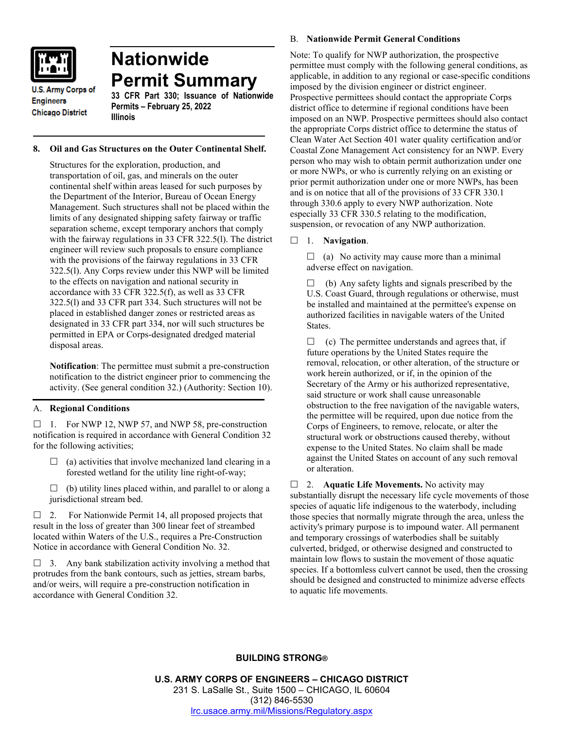

# **Nationwide Permit Summary**

**U.S. Army Corps of Engineers Chicago District** 

**33 CFR Part 330; Issuance of Nationwide Permits – February 25, 2022 Illinois**

## **8. Oil and Gas Structures on the Outer Continental Shelf.**

Structures for the exploration, production, and transportation of oil, gas, and minerals on the outer continental shelf within areas leased for such purposes by the Department of the Interior, Bureau of Ocean Energy Management. Such structures shall not be placed within the limits of any designated shipping safety fairway or traffic separation scheme, except temporary anchors that comply with the fairway regulations in 33 CFR 322.5(1). The district engineer will review such proposals to ensure compliance with the provisions of the fairway regulations in 33 CFR 322.5(l). Any Corps review under this NWP will be limited to the effects on navigation and national security in accordance with 33 CFR 322.5(f), as well as 33 CFR 322.5(l) and 33 CFR part 334. Such structures will not be placed in established danger zones or restricted areas as designated in 33 CFR part 334, nor will such structures be permitted in EPA or Corps-designated dredged material disposal areas.

**Notification**: The permittee must submit a pre-construction notification to the district engineer prior to commencing the activity. (See general condition 32.) (Authority: Section 10).

# A. **Regional Conditions**

 $\Box$  1. For NWP 12, NWP 57, and NWP 58, pre-construction notification is required in accordance with General Condition 32 for the following activities;

 $\Box$  (a) activities that involve mechanized land clearing in a forested wetland for the utility line right-of-way;

 $\Box$  (b) utility lines placed within, and parallel to or along a jurisdictional stream bed.

 $\Box$  2. For Nationwide Permit 14, all proposed projects that result in the loss of greater than 300 linear feet of streambed located within Waters of the U.S., requires a Pre-Construction Notice in accordance with General Condition No. 32.

 $\Box$  3. Any bank stabilization activity involving a method that protrudes from the bank contours, such as jetties, stream barbs, and/or weirs, will require a pre-construction notification in accordance with General Condition 32.

## B. **Nationwide Permit General Conditions**

Note: To qualify for NWP authorization, the prospective permittee must comply with the following general conditions, as applicable, in addition to any regional or case-specific conditions imposed by the division engineer or district engineer. Prospective permittees should contact the appropriate Corps district office to determine if regional conditions have been imposed on an NWP. Prospective permittees should also contact the appropriate Corps district office to determine the status of Clean Water Act Section 401 water quality certification and/or Coastal Zone Management Act consistency for an NWP. Every person who may wish to obtain permit authorization under one or more NWPs, or who is currently relying on an existing or prior permit authorization under one or more NWPs, has been and is on notice that all of the provisions of 33 CFR 330.1 through 330.6 apply to every NWP authorization. Note especially 33 CFR 330.5 relating to the modification, suspension, or revocation of any NWP authorization.

## 1. **Navigation**.

 $\Box$  (a) No activity may cause more than a minimal adverse effect on navigation.

 $\Box$  (b) Any safety lights and signals prescribed by the U.S. Coast Guard, through regulations or otherwise, must be installed and maintained at the permittee's expense on authorized facilities in navigable waters of the United States.

 $\Box$  (c) The permittee understands and agrees that, if future operations by the United States require the removal, relocation, or other alteration, of the structure or work herein authorized, or if, in the opinion of the Secretary of the Army or his authorized representative, said structure or work shall cause unreasonable obstruction to the free navigation of the navigable waters, the permittee will be required, upon due notice from the Corps of Engineers, to remove, relocate, or alter the structural work or obstructions caused thereby, without expense to the United States. No claim shall be made against the United States on account of any such removal or alteration.

□ 2. **Aquatic Life Movements.** No activity may substantially disrupt the necessary life cycle movements of those species of aquatic life indigenous to the waterbody, including those species that normally migrate through the area, unless the activity's primary purpose is to impound water. All permanent and temporary crossings of waterbodies shall be suitably culverted, bridged, or otherwise designed and constructed to maintain low flows to sustain the movement of those aquatic species. If a bottomless culvert cannot be used, then the crossing should be designed and constructed to minimize adverse effects to aquatic life movements.

# **BUILDING STRONG®**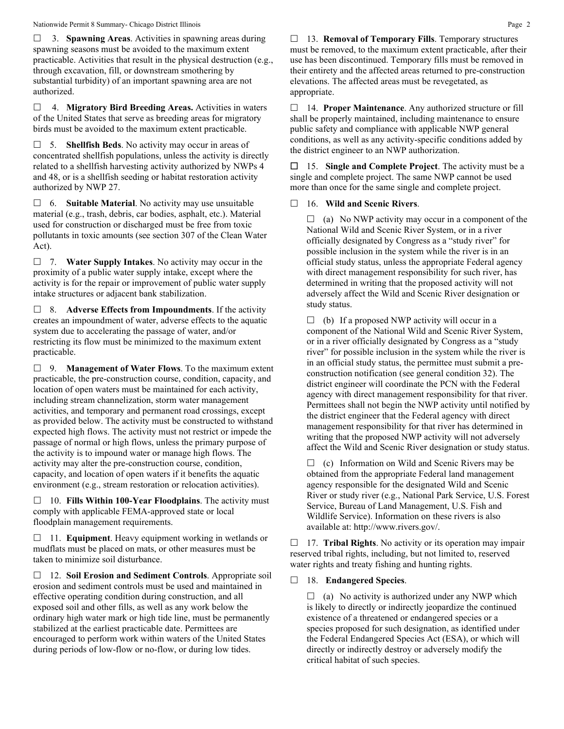#### Nationwide Permit 8 Summary- Chicago District Illinois **Page 2** 2

 3. **Spawning Areas**. Activities in spawning areas during spawning seasons must be avoided to the maximum extent practicable. Activities that result in the physical destruction (e.g., through excavation, fill, or downstream smothering by substantial turbidity) of an important spawning area are not authorized.

 4. **Migratory Bird Breeding Areas.** Activities in waters of the United States that serve as breeding areas for migratory birds must be avoided to the maximum extent practicable.

 5. **Shellfish Beds**. No activity may occur in areas of concentrated shellfish populations, unless the activity is directly related to a shellfish harvesting activity authorized by NWPs 4 and 48, or is a shellfish seeding or habitat restoration activity authorized by NWP 27.

 6. **Suitable Material**. No activity may use unsuitable material (e.g., trash, debris, car bodies, asphalt, etc.). Material used for construction or discharged must be free from toxic pollutants in toxic amounts (see section 307 of the Clean Water Act).

 7. **Water Supply Intakes**. No activity may occur in the proximity of a public water supply intake, except where the activity is for the repair or improvement of public water supply intake structures or adjacent bank stabilization.

 8. **Adverse Effects from Impoundments**. If the activity creates an impoundment of water, adverse effects to the aquatic system due to accelerating the passage of water, and/or restricting its flow must be minimized to the maximum extent practicable.

 9. **Management of Water Flows**. To the maximum extent practicable, the pre-construction course, condition, capacity, and location of open waters must be maintained for each activity, including stream channelization, storm water management activities, and temporary and permanent road crossings, except as provided below. The activity must be constructed to withstand expected high flows. The activity must not restrict or impede the passage of normal or high flows, unless the primary purpose of the activity is to impound water or manage high flows. The activity may alter the pre-construction course, condition, capacity, and location of open waters if it benefits the aquatic environment (e.g., stream restoration or relocation activities).

 10. **Fills Within 100-Year Floodplains**. The activity must comply with applicable FEMA-approved state or local floodplain management requirements.

□ 11. **Equipment**. Heavy equipment working in wetlands or mudflats must be placed on mats, or other measures must be taken to minimize soil disturbance.

 12. **Soil Erosion and Sediment Controls**. Appropriate soil erosion and sediment controls must be used and maintained in effective operating condition during construction, and all exposed soil and other fills, as well as any work below the ordinary high water mark or high tide line, must be permanently stabilized at the earliest practicable date. Permittees are encouraged to perform work within waters of the United States during periods of low-flow or no-flow, or during low tides.

 13. **Removal of Temporary Fills**. Temporary structures must be removed, to the maximum extent practicable, after their use has been discontinued. Temporary fills must be removed in their entirety and the affected areas returned to pre-construction elevations. The affected areas must be revegetated, as appropriate.

 14. **Proper Maintenance**. Any authorized structure or fill shall be properly maintained, including maintenance to ensure public safety and compliance with applicable NWP general conditions, as well as any activity-specific conditions added by the district engineer to an NWP authorization.

 15. **Single and Complete Project**. The activity must be a single and complete project. The same NWP cannot be used more than once for the same single and complete project.

## 16. **Wild and Scenic Rivers**.

 $\Box$  (a) No NWP activity may occur in a component of the National Wild and Scenic River System, or in a river officially designated by Congress as a "study river" for possible inclusion in the system while the river is in an official study status, unless the appropriate Federal agency with direct management responsibility for such river, has determined in writing that the proposed activity will not adversely affect the Wild and Scenic River designation or study status.

 $\Box$  (b) If a proposed NWP activity will occur in a component of the National Wild and Scenic River System, or in a river officially designated by Congress as a "study river" for possible inclusion in the system while the river is in an official study status, the permittee must submit a preconstruction notification (see general condition 32). The district engineer will coordinate the PCN with the Federal agency with direct management responsibility for that river. Permittees shall not begin the NWP activity until notified by the district engineer that the Federal agency with direct management responsibility for that river has determined in writing that the proposed NWP activity will not adversely affect the Wild and Scenic River designation or study status.

 $\Box$  (c) Information on Wild and Scenic Rivers may be obtained from the appropriate Federal land management agency responsible for the designated Wild and Scenic River or study river (e.g., National Park Service, U.S. Forest Service, Bureau of Land Management, U.S. Fish and Wildlife Service). Information on these rivers is also available at: http://www.rivers.gov/.

 17. **Tribal Rights**. No activity or its operation may impair reserved tribal rights, including, but not limited to, reserved water rights and treaty fishing and hunting rights.

## 18. **Endangered Species**.

 $\Box$  (a) No activity is authorized under any NWP which is likely to directly or indirectly jeopardize the continued existence of a threatened or endangered species or a species proposed for such designation, as identified under the Federal Endangered Species Act (ESA), or which will directly or indirectly destroy or adversely modify the critical habitat of such species.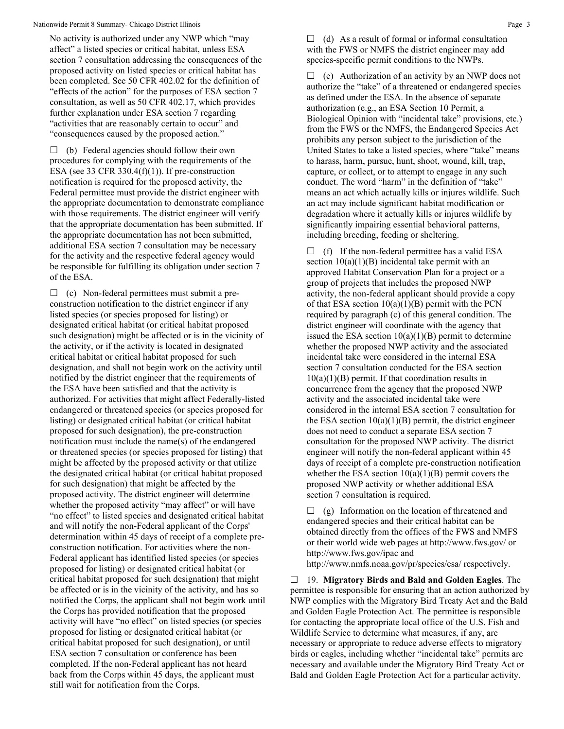#### Nationwide Permit 8 Summary- Chicago District Illinois **Page 3** and the state of the state of the state of the state of the state of the state of the state of the state of the state of the state of the state of the state o

No activity is authorized under any NWP which "may affect" a listed species or critical habitat, unless ESA section 7 consultation addressing the consequences of the proposed activity on listed species or critical habitat has been completed. See 50 CFR 402.02 for the definition of "effects of the action" for the purposes of ESA section 7 consultation, as well as 50 CFR 402.17, which provides further explanation under ESA section 7 regarding "activities that are reasonably certain to occur" and "consequences caused by the proposed action."

 $\Box$  (b) Federal agencies should follow their own procedures for complying with the requirements of the ESA (see 33 CFR 330.4 $(f)(1)$ ). If pre-construction notification is required for the proposed activity, the Federal permittee must provide the district engineer with the appropriate documentation to demonstrate compliance with those requirements. The district engineer will verify that the appropriate documentation has been submitted. If the appropriate documentation has not been submitted, additional ESA section 7 consultation may be necessary for the activity and the respective federal agency would be responsible for fulfilling its obligation under section 7 of the ESA.

 $\Box$  (c) Non-federal permittees must submit a preconstruction notification to the district engineer if any listed species (or species proposed for listing) or designated critical habitat (or critical habitat proposed such designation) might be affected or is in the vicinity of the activity, or if the activity is located in designated critical habitat or critical habitat proposed for such designation, and shall not begin work on the activity until notified by the district engineer that the requirements of the ESA have been satisfied and that the activity is authorized. For activities that might affect Federally-listed endangered or threatened species (or species proposed for listing) or designated critical habitat (or critical habitat proposed for such designation), the pre-construction notification must include the name(s) of the endangered or threatened species (or species proposed for listing) that might be affected by the proposed activity or that utilize the designated critical habitat (or critical habitat proposed for such designation) that might be affected by the proposed activity. The district engineer will determine whether the proposed activity "may affect" or will have "no effect" to listed species and designated critical habitat and will notify the non-Federal applicant of the Corps' determination within 45 days of receipt of a complete preconstruction notification. For activities where the non-Federal applicant has identified listed species (or species proposed for listing) or designated critical habitat (or critical habitat proposed for such designation) that might be affected or is in the vicinity of the activity, and has so notified the Corps, the applicant shall not begin work until the Corps has provided notification that the proposed activity will have "no effect" on listed species (or species proposed for listing or designated critical habitat (or critical habitat proposed for such designation), or until ESA section 7 consultation or conference has been completed. If the non-Federal applicant has not heard back from the Corps within 45 days, the applicant must still wait for notification from the Corps.

 $\Box$  (d) As a result of formal or informal consultation with the FWS or NMFS the district engineer may add species-specific permit conditions to the NWPs.

 $\Box$  (e) Authorization of an activity by an NWP does not authorize the "take" of a threatened or endangered species as defined under the ESA. In the absence of separate authorization (e.g., an ESA Section 10 Permit, a Biological Opinion with "incidental take" provisions, etc.) from the FWS or the NMFS, the Endangered Species Act prohibits any person subject to the jurisdiction of the United States to take a listed species, where "take" means to harass, harm, pursue, hunt, shoot, wound, kill, trap, capture, or collect, or to attempt to engage in any such conduct. The word "harm" in the definition of "take" means an act which actually kills or injures wildlife. Such an act may include significant habitat modification or degradation where it actually kills or injures wildlife by significantly impairing essential behavioral patterns, including breeding, feeding or sheltering.

 $\Box$  (f) If the non-federal permittee has a valid ESA section  $10(a)(1)(B)$  incidental take permit with an approved Habitat Conservation Plan for a project or a group of projects that includes the proposed NWP activity, the non-federal applicant should provide a copy of that ESA section  $10(a)(1)(B)$  permit with the PCN required by paragraph (c) of this general condition. The district engineer will coordinate with the agency that issued the ESA section  $10(a)(1)(B)$  permit to determine whether the proposed NWP activity and the associated incidental take were considered in the internal ESA section 7 consultation conducted for the ESA section  $10(a)(1)(B)$  permit. If that coordination results in concurrence from the agency that the proposed NWP activity and the associated incidental take were considered in the internal ESA section 7 consultation for the ESA section  $10(a)(1)(B)$  permit, the district engineer does not need to conduct a separate ESA section 7 consultation for the proposed NWP activity. The district engineer will notify the non-federal applicant within 45 days of receipt of a complete pre-construction notification whether the ESA section  $10(a)(1)(B)$  permit covers the proposed NWP activity or whether additional ESA section 7 consultation is required.

 $\Box$  (g) Information on the location of threatened and endangered species and their critical habitat can be obtained directly from the offices of the FWS and NMFS or their world wide web pages at http://www.fws.gov/ or http://www.fws.gov/ipac and http://www.nmfs.noaa.gov/pr/species/esa/ respectively.

 19. **Migratory Birds and Bald and Golden Eagles**. The permittee is responsible for ensuring that an action authorized by NWP complies with the Migratory Bird Treaty Act and the Bald and Golden Eagle Protection Act. The permittee is responsible for contacting the appropriate local office of the U.S. Fish and Wildlife Service to determine what measures, if any, are necessary or appropriate to reduce adverse effects to migratory birds or eagles, including whether "incidental take" permits are necessary and available under the Migratory Bird Treaty Act or Bald and Golden Eagle Protection Act for a particular activity.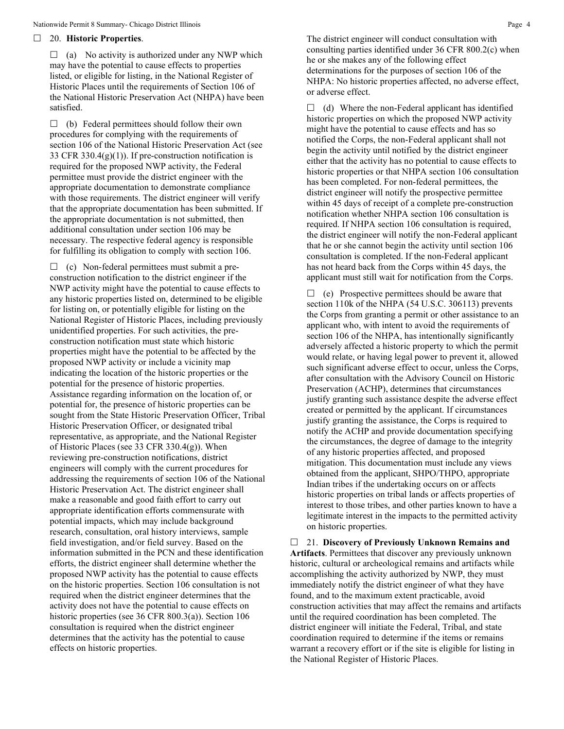#### 20. **Historic Properties**.

 $\Box$  (a) No activity is authorized under any NWP which may have the potential to cause effects to properties listed, or eligible for listing, in the National Register of Historic Places until the requirements of Section 106 of the National Historic Preservation Act (NHPA) have been satisfied.

 $\Box$  (b) Federal permittees should follow their own procedures for complying with the requirements of section 106 of the National Historic Preservation Act (see 33 CFR 330.4(g)(1)). If pre-construction notification is required for the proposed NWP activity, the Federal permittee must provide the district engineer with the appropriate documentation to demonstrate compliance with those requirements. The district engineer will verify that the appropriate documentation has been submitted. If the appropriate documentation is not submitted, then additional consultation under section 106 may be necessary. The respective federal agency is responsible for fulfilling its obligation to comply with section 106.

 $\Box$  (c) Non-federal permittees must submit a preconstruction notification to the district engineer if the NWP activity might have the potential to cause effects to any historic properties listed on, determined to be eligible for listing on, or potentially eligible for listing on the National Register of Historic Places, including previously unidentified properties. For such activities, the preconstruction notification must state which historic properties might have the potential to be affected by the proposed NWP activity or include a vicinity map indicating the location of the historic properties or the potential for the presence of historic properties. Assistance regarding information on the location of, or potential for, the presence of historic properties can be sought from the State Historic Preservation Officer, Tribal Historic Preservation Officer, or designated tribal representative, as appropriate, and the National Register of Historic Places (see 33 CFR 330.4(g)). When reviewing pre-construction notifications, district engineers will comply with the current procedures for addressing the requirements of section 106 of the National Historic Preservation Act. The district engineer shall make a reasonable and good faith effort to carry out appropriate identification efforts commensurate with potential impacts, which may include background research, consultation, oral history interviews, sample field investigation, and/or field survey. Based on the information submitted in the PCN and these identification efforts, the district engineer shall determine whether the proposed NWP activity has the potential to cause effects on the historic properties. Section 106 consultation is not required when the district engineer determines that the activity does not have the potential to cause effects on historic properties (see 36 CFR 800.3(a)). Section 106 consultation is required when the district engineer determines that the activity has the potential to cause effects on historic properties.

The district engineer will conduct consultation with consulting parties identified under 36 CFR 800.2(c) when he or she makes any of the following effect determinations for the purposes of section 106 of the NHPA: No historic properties affected, no adverse effect, or adverse effect.

 $\Box$  (d) Where the non-Federal applicant has identified historic properties on which the proposed NWP activity might have the potential to cause effects and has so notified the Corps, the non-Federal applicant shall not begin the activity until notified by the district engineer either that the activity has no potential to cause effects to historic properties or that NHPA section 106 consultation has been completed. For non-federal permittees, the district engineer will notify the prospective permittee within 45 days of receipt of a complete pre-construction notification whether NHPA section 106 consultation is required. If NHPA section 106 consultation is required, the district engineer will notify the non-Federal applicant that he or she cannot begin the activity until section 106 consultation is completed. If the non-Federal applicant has not heard back from the Corps within 45 days, the applicant must still wait for notification from the Corps.

 $\Box$  (e) Prospective permittees should be aware that section 110k of the NHPA (54 U.S.C. 306113) prevents the Corps from granting a permit or other assistance to an applicant who, with intent to avoid the requirements of section 106 of the NHPA, has intentionally significantly adversely affected a historic property to which the permit would relate, or having legal power to prevent it, allowed such significant adverse effect to occur, unless the Corps, after consultation with the Advisory Council on Historic Preservation (ACHP), determines that circumstances justify granting such assistance despite the adverse effect created or permitted by the applicant. If circumstances justify granting the assistance, the Corps is required to notify the ACHP and provide documentation specifying the circumstances, the degree of damage to the integrity of any historic properties affected, and proposed mitigation. This documentation must include any views obtained from the applicant, SHPO/THPO, appropriate Indian tribes if the undertaking occurs on or affects historic properties on tribal lands or affects properties of interest to those tribes, and other parties known to have a legitimate interest in the impacts to the permitted activity on historic properties.

 21. **Discovery of Previously Unknown Remains and Artifacts**. Permittees that discover any previously unknown historic, cultural or archeological remains and artifacts while accomplishing the activity authorized by NWP, they must immediately notify the district engineer of what they have found, and to the maximum extent practicable, avoid construction activities that may affect the remains and artifacts until the required coordination has been completed. The district engineer will initiate the Federal, Tribal, and state coordination required to determine if the items or remains warrant a recovery effort or if the site is eligible for listing in the National Register of Historic Places.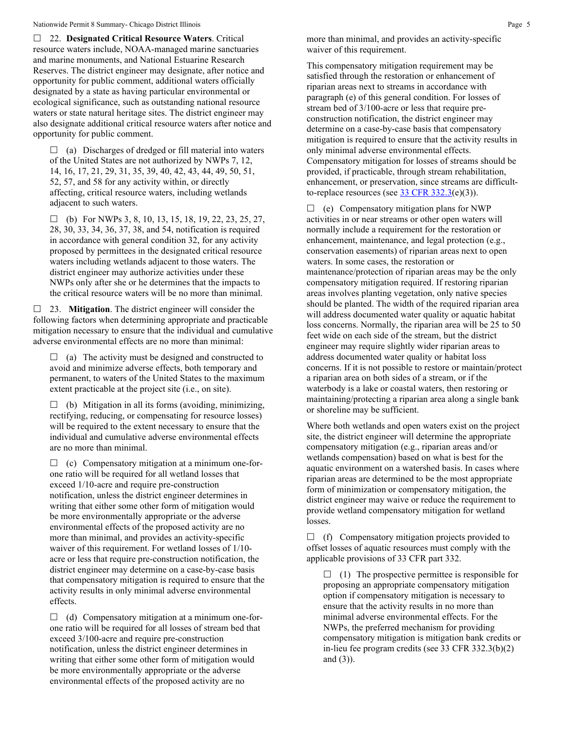22. **Designated Critical Resource Waters**. Critical resource waters include, NOAA-managed marine sanctuaries and marine monuments, and National Estuarine Research Reserves. The district engineer may designate, after notice and opportunity for public comment, additional waters officially designated by a state as having particular environmental or ecological significance, such as outstanding national resource waters or state natural heritage sites. The district engineer may also designate additional critical resource waters after notice and opportunity for public comment.

 $\Box$  (a) Discharges of dredged or fill material into waters of the United States are not authorized by NWPs 7, 12, 14, 16, 17, 21, 29, 31, 35, 39, 40, 42, 43, 44, 49, 50, 51, 52, 57, and 58 for any activity within, or directly affecting, critical resource waters, including wetlands adjacent to such waters.

 $\Box$  (b) For NWPs 3, 8, 10, 13, 15, 18, 19, 22, 23, 25, 27, 28, 30, 33, 34, 36, 37, 38, and 54, notification is required in accordance with general condition 32, for any activity proposed by permittees in the designated critical resource waters including wetlands adjacent to those waters. The district engineer may authorize activities under these NWPs only after she or he determines that the impacts to the critical resource waters will be no more than minimal.

 23. **Mitigation**. The district engineer will consider the following factors when determining appropriate and practicable mitigation necessary to ensure that the individual and cumulative adverse environmental effects are no more than minimal:

 $\Box$  (a) The activity must be designed and constructed to avoid and minimize adverse effects, both temporary and permanent, to waters of the United States to the maximum extent practicable at the project site (i.e., on site).

 $\Box$  (b) Mitigation in all its forms (avoiding, minimizing, rectifying, reducing, or compensating for resource losses) will be required to the extent necessary to ensure that the individual and cumulative adverse environmental effects are no more than minimal.

 $\Box$  (c) Compensatory mitigation at a minimum one-forone ratio will be required for all wetland losses that exceed 1/10-acre and require pre-construction notification, unless the district engineer determines in writing that either some other form of mitigation would be more environmentally appropriate or the adverse environmental effects of the proposed activity are no more than minimal, and provides an activity-specific waiver of this requirement. For wetland losses of 1/10 acre or less that require pre-construction notification, the district engineer may determine on a case-by-case basis that compensatory mitigation is required to ensure that the activity results in only minimal adverse environmental effects.

 $\Box$  (d) Compensatory mitigation at a minimum one-forone ratio will be required for all losses of stream bed that exceed 3/100-acre and require pre-construction notification, unless the district engineer determines in writing that either some other form of mitigation would be more environmentally appropriate or the adverse environmental effects of the proposed activity are no

more than minimal, and provides an activity-specific waiver of this requirement.

This compensatory mitigation requirement may be satisfied through the restoration or enhancement of riparian areas next to streams in accordance with paragraph (e) of this general condition. For losses of stream bed of 3/100-acre or less that require preconstruction notification, the district engineer may determine on a case-by-case basis that compensatory mitigation is required to ensure that the activity results in only minimal adverse environmental effects. Compensatory mitigation for losses of streams should be provided, if practicable, through stream rehabilitation, enhancement, or preservation, since streams are difficultto-replace resources (see  $33 \text{ CFR } 332.3(e)(3)$ ).

 $\Box$  (e) Compensatory mitigation plans for NWP activities in or near streams or other open waters will normally include a requirement for the restoration or enhancement, maintenance, and legal protection (e.g., conservation easements) of riparian areas next to open waters. In some cases, the restoration or maintenance/protection of riparian areas may be the only compensatory mitigation required. If restoring riparian areas involves planting vegetation, only native species should be planted. The width of the required riparian area will address documented water quality or aquatic habitat loss concerns. Normally, the riparian area will be 25 to 50 feet wide on each side of the stream, but the district engineer may require slightly wider riparian areas to address documented water quality or habitat loss concerns. If it is not possible to restore or maintain/protect a riparian area on both sides of a stream, or if the waterbody is a lake or coastal waters, then restoring or maintaining/protecting a riparian area along a single bank or shoreline may be sufficient.

Where both wetlands and open waters exist on the project site, the district engineer will determine the appropriate compensatory mitigation (e.g., riparian areas and/or wetlands compensation) based on what is best for the aquatic environment on a watershed basis. In cases where riparian areas are determined to be the most appropriate form of minimization or compensatory mitigation, the district engineer may waive or reduce the requirement to provide wetland compensatory mitigation for wetland losses.

 $\Box$  (f) Compensatory mitigation projects provided to offset losses of aquatic resources must comply with the applicable provisions of 33 CFR part 332.

 $\Box$  (1) The prospective permittee is responsible for proposing an appropriate compensatory mitigation option if compensatory mitigation is necessary to ensure that the activity results in no more than minimal adverse environmental effects. For the NWPs, the preferred mechanism for providing compensatory mitigation is mitigation bank credits or in-lieu fee program credits (see 33 CFR 332.3(b)(2) and (3)).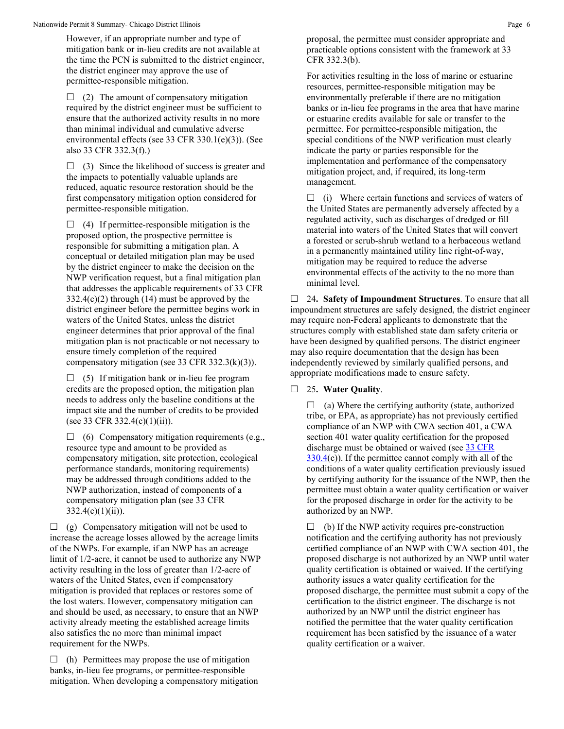However, if an appropriate number and type of mitigation bank or in-lieu credits are not available at the time the PCN is submitted to the district engineer, the district engineer may approve the use of permittee-responsible mitigation.

 $\Box$  (2) The amount of compensatory mitigation required by the district engineer must be sufficient to ensure that the authorized activity results in no more than minimal individual and cumulative adverse environmental effects (see 33 CFR 330.1(e)(3)). (See also 33 CFR 332.3(f).)

 $\Box$  (3) Since the likelihood of success is greater and the impacts to potentially valuable uplands are reduced, aquatic resource restoration should be the first compensatory mitigation option considered for permittee-responsible mitigation.

 $\Box$  (4) If permittee-responsible mitigation is the proposed option, the prospective permittee is responsible for submitting a mitigation plan. A conceptual or detailed mitigation plan may be used by the district engineer to make the decision on the NWP verification request, but a final mitigation plan that addresses the applicable requirements of 33 CFR  $332.4(c)(2)$  through (14) must be approved by the district engineer before the permittee begins work in waters of the United States, unless the district engineer determines that prior approval of the final mitigation plan is not practicable or not necessary to ensure timely completion of the required compensatory mitigation (see 33 CFR 332.3(k)(3)).

 $\Box$  (5) If mitigation bank or in-lieu fee program credits are the proposed option, the mitigation plan needs to address only the baseline conditions at the impact site and the number of credits to be provided (see 33 CFR 332.4(c)(1)(ii)).

 $\Box$  (6) Compensatory mitigation requirements (e.g., resource type and amount to be provided as compensatory mitigation, site protection, ecological performance standards, monitoring requirements) may be addressed through conditions added to the NWP authorization, instead of components of a compensatory mitigation plan (see 33 CFR  $332.4(c)(1)(ii)$ ).

 $\Box$  (g) Compensatory mitigation will not be used to increase the acreage losses allowed by the acreage limits of the NWPs. For example, if an NWP has an acreage limit of 1/2-acre, it cannot be used to authorize any NWP activity resulting in the loss of greater than 1/2-acre of waters of the United States, even if compensatory mitigation is provided that replaces or restores some of the lost waters. However, compensatory mitigation can and should be used, as necessary, to ensure that an NWP activity already meeting the established acreage limits also satisfies the no more than minimal impact requirement for the NWPs.

 $\Box$  (h) Permittees may propose the use of mitigation banks, in-lieu fee programs, or permittee-responsible mitigation. When developing a compensatory mitigation proposal, the permittee must consider appropriate and practicable options consistent with the framework at 33 CFR 332.3(b).

For activities resulting in the loss of marine or estuarine resources, permittee-responsible mitigation may be environmentally preferable if there are no mitigation banks or in-lieu fee programs in the area that have marine or estuarine credits available for sale or transfer to the permittee. For permittee-responsible mitigation, the special conditions of the NWP verification must clearly indicate the party or parties responsible for the implementation and performance of the compensatory mitigation project, and, if required, its long-term management.

 $\Box$  (i) Where certain functions and services of waters of the United States are permanently adversely affected by a regulated activity, such as discharges of dredged or fill material into waters of the United States that will convert a forested or scrub-shrub wetland to a herbaceous wetland in a permanently maintained utility line right-of-way, mitigation may be required to reduce the adverse environmental effects of the activity to the no more than minimal level.

 24**. Safety of Impoundment Structures**. To ensure that all impoundment structures are safely designed, the district engineer may require non-Federal applicants to demonstrate that the structures comply with established state dam safety criteria or have been designed by qualified persons. The district engineer may also require documentation that the design has been independently reviewed by similarly qualified persons, and appropriate modifications made to ensure safety.

## 25**. Water Quality**.

 $\Box$  (a) Where the certifying authority (state, authorized tribe, or EPA, as appropriate) has not previously certified compliance of an NWP with CWA section 401, a CWA section 401 water quality certification for the proposed discharge must be obtained or waived (see [33 CFR](https://www.federalregister.gov/select-citation/2021/01/13/33-CFR-330.4)   $330.4(c)$  $330.4(c)$ ). If the permittee cannot comply with all of the conditions of a water quality certification previously issued by certifying authority for the issuance of the NWP, then the permittee must obtain a water quality certification or waiver for the proposed discharge in order for the activity to be authorized by an NWP.

 $\Box$  (b) If the NWP activity requires pre-construction notification and the certifying authority has not previously certified compliance of an NWP with CWA section 401, the proposed discharge is not authorized by an NWP until water quality certification is obtained or waived. If the certifying authority issues a water quality certification for the proposed discharge, the permittee must submit a copy of the certification to the district engineer. The discharge is not authorized by an NWP until the district engineer has notified the permittee that the water quality certification requirement has been satisfied by the issuance of a water quality certification or a waiver.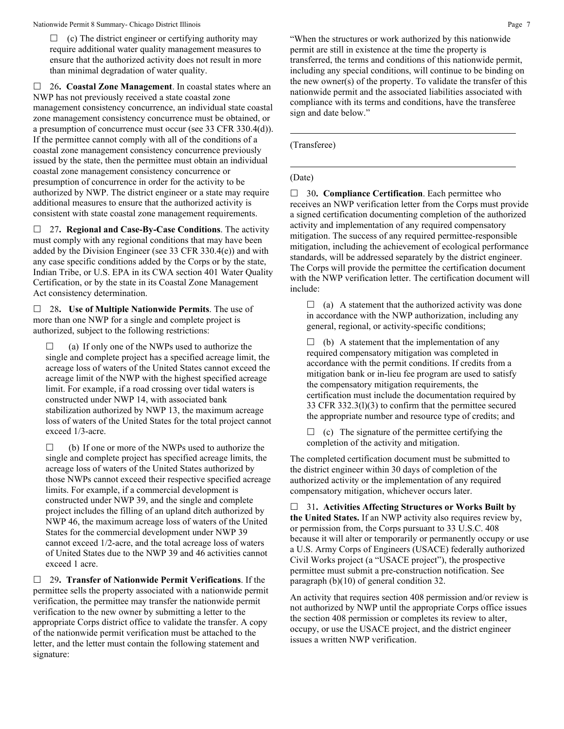$\Box$  (c) The district engineer or certifying authority may require additional water quality management measures to ensure that the authorized activity does not result in more than minimal degradation of water quality.

 26**. Coastal Zone Management**. In coastal states where an NWP has not previously received a state coastal zone management consistency concurrence, an individual state coastal zone management consistency concurrence must be obtained, or a presumption of concurrence must occur (see 33 CFR 330.4(d)). If the permittee cannot comply with all of the conditions of a coastal zone management consistency concurrence previously issued by the state, then the permittee must obtain an individual coastal zone management consistency concurrence or presumption of concurrence in order for the activity to be authorized by NWP. The district engineer or a state may require additional measures to ensure that the authorized activity is consistent with state coastal zone management requirements.

 27**. Regional and Case-By-Case Conditions**. The activity must comply with any regional conditions that may have been added by the Division Engineer (see 33 CFR 330.4(e)) and with any case specific conditions added by the Corps or by the state, Indian Tribe, or U.S. EPA in its CWA section 401 Water Quality Certification, or by the state in its Coastal Zone Management Act consistency determination.

 28**. Use of Multiple Nationwide Permits**. The use of more than one NWP for a single and complete project is authorized, subject to the following restrictions:

 $\Box$  (a) If only one of the NWPs used to authorize the single and complete project has a specified acreage limit, the acreage loss of waters of the United States cannot exceed the acreage limit of the NWP with the highest specified acreage limit. For example, if a road crossing over tidal waters is constructed under NWP 14, with associated bank stabilization authorized by NWP 13, the maximum acreage loss of waters of the United States for the total project cannot exceed 1/3-acre.

 $\Box$  (b) If one or more of the NWPs used to authorize the single and complete project has specified acreage limits, the acreage loss of waters of the United States authorized by those NWPs cannot exceed their respective specified acreage limits. For example, if a commercial development is constructed under NWP 39, and the single and complete project includes the filling of an upland ditch authorized by NWP 46, the maximum acreage loss of waters of the United States for the commercial development under NWP 39 cannot exceed 1/2-acre, and the total acreage loss of waters of United States due to the NWP 39 and 46 activities cannot exceed 1 acre.

 29**. Transfer of Nationwide Permit Verifications**. If the permittee sells the property associated with a nationwide permit verification, the permittee may transfer the nationwide permit verification to the new owner by submitting a letter to the appropriate Corps district office to validate the transfer. A copy of the nationwide permit verification must be attached to the letter, and the letter must contain the following statement and signature:

"When the structures or work authorized by this nationwide permit are still in existence at the time the property is transferred, the terms and conditions of this nationwide permit, including any special conditions, will continue to be binding on the new owner(s) of the property. To validate the transfer of this nationwide permit and the associated liabilities associated with compliance with its terms and conditions, have the transferee sign and date below."

(Transferee)

#### (Date)

□ 30. **Compliance Certification**. Each permittee who receives an NWP verification letter from the Corps must provide a signed certification documenting completion of the authorized activity and implementation of any required compensatory mitigation. The success of any required permittee-responsible mitigation, including the achievement of ecological performance standards, will be addressed separately by the district engineer. The Corps will provide the permittee the certification document with the NWP verification letter. The certification document will include:

 $\Box$  (a) A statement that the authorized activity was done in accordance with the NWP authorization, including any general, regional, or activity-specific conditions;

 $\Box$  (b) A statement that the implementation of any required compensatory mitigation was completed in accordance with the permit conditions. If credits from a mitigation bank or in-lieu fee program are used to satisfy the compensatory mitigation requirements, the certification must include the documentation required by 33 CFR 332.3(l)(3) to confirm that the permittee secured the appropriate number and resource type of credits; and

 $\Box$  (c) The signature of the permittee certifying the completion of the activity and mitigation.

The completed certification document must be submitted to the district engineer within 30 days of completion of the authorized activity or the implementation of any required compensatory mitigation, whichever occurs later.

 31**. Activities Affecting Structures or Works Built by the United States.** If an NWP activity also requires review by, or permission from, the Corps pursuant to 33 U.S.C. 408 because it will alter or temporarily or permanently occupy or use a U.S. Army Corps of Engineers (USACE) federally authorized Civil Works project (a "USACE project"), the prospective permittee must submit a pre-construction notification. See paragraph (b)(10) of general condition 32.

An activity that requires section 408 permission and/or review is not authorized by NWP until the appropriate Corps office issues the section 408 permission or completes its review to alter, occupy, or use the USACE project, and the district engineer issues a written NWP verification.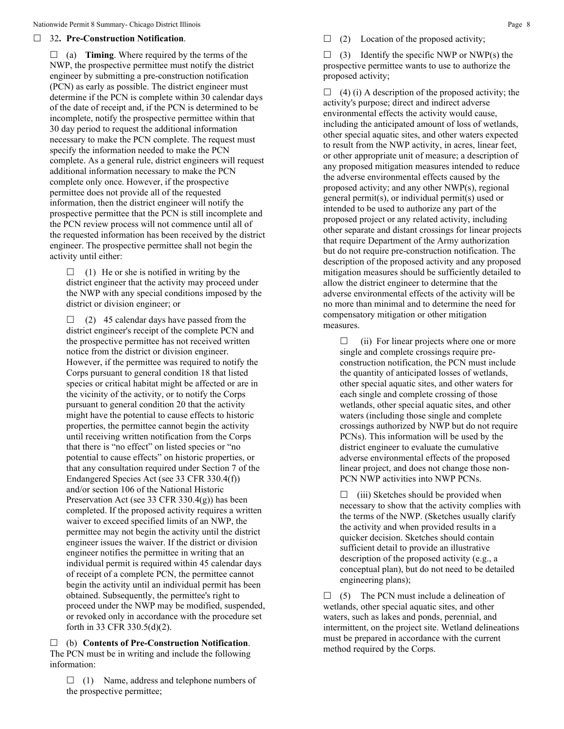#### 32**. Pre-Construction Notification**.

 $\Box$  (a) **Timing**. Where required by the terms of the NWP, the prospective permittee must notify the district engineer by submitting a pre-construction notification (PCN) as early as possible. The district engineer must determine if the PCN is complete within 30 calendar days of the date of receipt and, if the PCN is determined to be incomplete, notify the prospective permittee within that 30 day period to request the additional information necessary to make the PCN complete. The request must specify the information needed to make the PCN complete. As a general rule, district engineers will request additional information necessary to make the PCN complete only once. However, if the prospective permittee does not provide all of the requested information, then the district engineer will notify the prospective permittee that the PCN is still incomplete and the PCN review process will not commence until all of the requested information has been received by the district engineer. The prospective permittee shall not begin the activity until either:

 $\Box$  (1) He or she is notified in writing by the district engineer that the activity may proceed under the NWP with any special conditions imposed by the district or division engineer; or

 $\Box$  (2) 45 calendar days have passed from the district engineer's receipt of the complete PCN and the prospective permittee has not received written notice from the district or division engineer. However, if the permittee was required to notify the Corps pursuant to general condition 18 that listed species or critical habitat might be affected or are in the vicinity of the activity, or to notify the Corps pursuant to general condition 20 that the activity might have the potential to cause effects to historic properties, the permittee cannot begin the activity until receiving written notification from the Corps that there is "no effect" on listed species or "no potential to cause effects" on historic properties, or that any consultation required under Section 7 of the Endangered Species Act (see 33 CFR 330.4(f)) and/or section 106 of the National Historic Preservation Act (see 33 CFR 330.4(g)) has been completed. If the proposed activity requires a written waiver to exceed specified limits of an NWP, the permittee may not begin the activity until the district engineer issues the waiver. If the district or division engineer notifies the permittee in writing that an individual permit is required within 45 calendar days of receipt of a complete PCN, the permittee cannot begin the activity until an individual permit has been obtained. Subsequently, the permittee's right to proceed under the NWP may be modified, suspended, or revoked only in accordance with the procedure set forth in 33 CFR 330.5(d)(2).

 (b) **Contents of Pre-Construction Notification**. The PCN must be in writing and include the following information:

 $\Box$  (1) Name, address and telephone numbers of the prospective permittee;

 $\Box$  (2) Location of the proposed activity;

 $\Box$  (3) Identify the specific NWP or NWP(s) the prospective permittee wants to use to authorize the proposed activity;

 $\Box$  (4) (i) A description of the proposed activity; the activity's purpose; direct and indirect adverse environmental effects the activity would cause, including the anticipated amount of loss of wetlands, other special aquatic sites, and other waters expected to result from the NWP activity, in acres, linear feet, or other appropriate unit of measure; a description of any proposed mitigation measures intended to reduce the adverse environmental effects caused by the proposed activity; and any other NWP(s), regional general permit(s), or individual permit(s) used or intended to be used to authorize any part of the proposed project or any related activity, including other separate and distant crossings for linear projects that require Department of the Army authorization but do not require pre-construction notification. The description of the proposed activity and any proposed mitigation measures should be sufficiently detailed to allow the district engineer to determine that the adverse environmental effects of the activity will be no more than minimal and to determine the need for compensatory mitigation or other mitigation measures.

 $\Box$  (ii) For linear projects where one or more single and complete crossings require preconstruction notification, the PCN must include the quantity of anticipated losses of wetlands, other special aquatic sites, and other waters for each single and complete crossing of those wetlands, other special aquatic sites, and other waters (including those single and complete crossings authorized by NWP but do not require PCNs). This information will be used by the district engineer to evaluate the cumulative adverse environmental effects of the proposed linear project, and does not change those non-PCN NWP activities into NWP PCNs.

 $\Box$  (iii) Sketches should be provided when necessary to show that the activity complies with the terms of the NWP. (Sketches usually clarify the activity and when provided results in a quicker decision. Sketches should contain sufficient detail to provide an illustrative description of the proposed activity (e.g., a conceptual plan), but do not need to be detailed engineering plans);

 $\Box$  (5) The PCN must include a delineation of wetlands, other special aquatic sites, and other waters, such as lakes and ponds, perennial, and intermittent, on the project site. Wetland delineations must be prepared in accordance with the current method required by the Corps.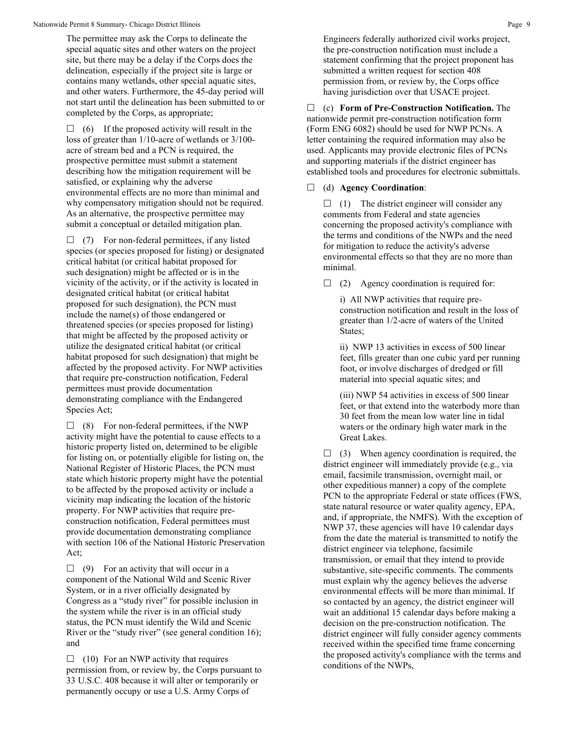The permittee may ask the Corps to delineate the special aquatic sites and other waters on the project site, but there may be a delay if the Corps does the delineation, especially if the project site is large or contains many wetlands, other special aquatic sites, and other waters. Furthermore, the 45-day period will not start until the delineation has been submitted to or completed by the Corps, as appropriate;

 $\Box$  (6) If the proposed activity will result in the loss of greater than 1/10-acre of wetlands or 3/100 acre of stream bed and a PCN is required, the prospective permittee must submit a statement describing how the mitigation requirement will be satisfied, or explaining why the adverse environmental effects are no more than minimal and why compensatory mitigation should not be required. As an alternative, the prospective permittee may submit a conceptual or detailed mitigation plan.

 $\Box$  (7) For non-federal permittees, if any listed species (or species proposed for listing) or designated critical habitat (or critical habitat proposed for such designation) might be affected or is in the vicinity of the activity, or if the activity is located in designated critical habitat (or critical habitat proposed for such designation), the PCN must include the name(s) of those endangered or threatened species (or species proposed for listing) that might be affected by the proposed activity or utilize the designated critical habitat (or critical habitat proposed for such designation) that might be affected by the proposed activity. For NWP activities that require pre-construction notification, Federal permittees must provide documentation demonstrating compliance with the Endangered Species Act;

 $\Box$  (8) For non-federal permittees, if the NWP activity might have the potential to cause effects to a historic property listed on, determined to be eligible for listing on, or potentially eligible for listing on, the National Register of Historic Places, the PCN must state which historic property might have the potential to be affected by the proposed activity or include a vicinity map indicating the location of the historic property. For NWP activities that require preconstruction notification, Federal permittees must provide documentation demonstrating compliance with section 106 of the National Historic Preservation Act;

 $\Box$  (9) For an activity that will occur in a component of the National Wild and Scenic River System, or in a river officially designated by Congress as a "study river" for possible inclusion in the system while the river is in an official study status, the PCN must identify the Wild and Scenic River or the "study river" (see general condition 16); and

 $\Box$  (10) For an NWP activity that requires permission from, or review by, the Corps pursuant to 33 U.S.C. 408 because it will alter or temporarily or permanently occupy or use a U.S. Army Corps of

Engineers federally authorized civil works project, the pre-construction notification must include a statement confirming that the project proponent has submitted a written request for section 408 permission from, or review by, the Corps office having jurisdiction over that USACE project.

 (c) **Form of Pre-Construction Notification.** The nationwide permit pre-construction notification form (Form ENG 6082) should be used for NWP PCNs. A letter containing the required information may also be used. Applicants may provide electronic files of PCNs and supporting materials if the district engineer has established tools and procedures for electronic submittals.

## (d) **Agency Coordination**:

 $\Box$  (1) The district engineer will consider any comments from Federal and state agencies concerning the proposed activity's compliance with the terms and conditions of the NWPs and the need for mitigation to reduce the activity's adverse environmental effects so that they are no more than minimal.

 $\Box$  (2) Agency coordination is required for:

i) All NWP activities that require preconstruction notification and result in the loss of greater than 1/2-acre of waters of the United States;

ii) NWP 13 activities in excess of 500 linear feet, fills greater than one cubic yard per running foot, or involve discharges of dredged or fill material into special aquatic sites; and

(iii) NWP 54 activities in excess of 500 linear feet, or that extend into the waterbody more than 30 feet from the mean low water line in tidal waters or the ordinary high water mark in the Great Lakes.

 $\Box$  (3) When agency coordination is required, the district engineer will immediately provide (e.g., via email, facsimile transmission, overnight mail, or other expeditious manner) a copy of the complete PCN to the appropriate Federal or state offices (FWS, state natural resource or water quality agency, EPA, and, if appropriate, the NMFS). With the exception of NWP 37, these agencies will have 10 calendar days from the date the material is transmitted to notify the district engineer via telephone, facsimile transmission, or email that they intend to provide substantive, site-specific comments. The comments must explain why the agency believes the adverse environmental effects will be more than minimal. If so contacted by an agency, the district engineer will wait an additional 15 calendar days before making a decision on the pre-construction notification. The district engineer will fully consider agency comments received within the specified time frame concerning the proposed activity's compliance with the terms and conditions of the NWPs,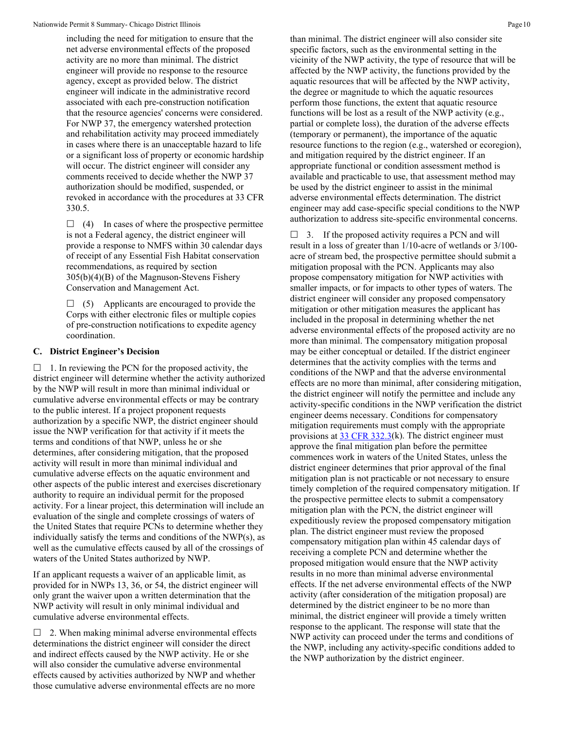Nationwide Permit 8 Summary- Chicago District Illinois **Page 10** National Accounts Page 10

including the need for mitigation to ensure that the net adverse environmental effects of the proposed activity are no more than minimal. The district engineer will provide no response to the resource agency, except as provided below. The district engineer will indicate in the administrative record associated with each pre-construction notification that the resource agencies' concerns were considered. For NWP 37, the emergency watershed protection and rehabilitation activity may proceed immediately in cases where there is an unacceptable hazard to life or a significant loss of property or economic hardship will occur. The district engineer will consider any comments received to decide whether the NWP 37 authorization should be modified, suspended, or revoked in accordance with the procedures at 33 CFR 330.5.

 $\Box$  (4) In cases of where the prospective permittee is not a Federal agency, the district engineer will provide a response to NMFS within 30 calendar days of receipt of any Essential Fish Habitat conservation recommendations, as required by section 305(b)(4)(B) of the Magnuson-Stevens Fishery Conservation and Management Act.

 $\Box$  (5) Applicants are encouraged to provide the Corps with either electronic files or multiple copies of pre-construction notifications to expedite agency coordination.

### **C. District Engineer's Decision**

 $\Box$  1. In reviewing the PCN for the proposed activity, the district engineer will determine whether the activity authorized by the NWP will result in more than minimal individual or cumulative adverse environmental effects or may be contrary to the public interest. If a project proponent requests authorization by a specific NWP, the district engineer should issue the NWP verification for that activity if it meets the terms and conditions of that NWP, unless he or she determines, after considering mitigation, that the proposed activity will result in more than minimal individual and cumulative adverse effects on the aquatic environment and other aspects of the public interest and exercises discretionary authority to require an individual permit for the proposed activity. For a linear project, this determination will include an evaluation of the single and complete crossings of waters of the United States that require PCNs to determine whether they individually satisfy the terms and conditions of the NWP(s), as well as the cumulative effects caused by all of the crossings of waters of the United States authorized by NWP.

If an applicant requests a waiver of an applicable limit, as provided for in NWPs 13, 36, or 54, the district engineer will only grant the waiver upon a written determination that the NWP activity will result in only minimal individual and cumulative adverse environmental effects.

 $\Box$  2. When making minimal adverse environmental effects determinations the district engineer will consider the direct and indirect effects caused by the NWP activity. He or she will also consider the cumulative adverse environmental effects caused by activities authorized by NWP and whether those cumulative adverse environmental effects are no more

than minimal. The district engineer will also consider site specific factors, such as the environmental setting in the vicinity of the NWP activity, the type of resource that will be affected by the NWP activity, the functions provided by the aquatic resources that will be affected by the NWP activity, the degree or magnitude to which the aquatic resources perform those functions, the extent that aquatic resource functions will be lost as a result of the NWP activity (e.g., partial or complete loss), the duration of the adverse effects (temporary or permanent), the importance of the aquatic resource functions to the region (e.g., watershed or ecoregion), and mitigation required by the district engineer. If an appropriate functional or condition assessment method is available and practicable to use, that assessment method may be used by the district engineer to assist in the minimal adverse environmental effects determination. The district engineer may add case-specific special conditions to the NWP authorization to address site-specific environmental concerns.

 $\Box$  3. If the proposed activity requires a PCN and will result in a loss of greater than 1/10-acre of wetlands or 3/100 acre of stream bed, the prospective permittee should submit a mitigation proposal with the PCN. Applicants may also propose compensatory mitigation for NWP activities with smaller impacts, or for impacts to other types of waters. The district engineer will consider any proposed compensatory mitigation or other mitigation measures the applicant has included in the proposal in determining whether the net adverse environmental effects of the proposed activity are no more than minimal. The compensatory mitigation proposal may be either conceptual or detailed. If the district engineer determines that the activity complies with the terms and conditions of the NWP and that the adverse environmental effects are no more than minimal, after considering mitigation, the district engineer will notify the permittee and include any activity-specific conditions in the NWP verification the district engineer deems necessary. Conditions for compensatory mitigation requirements must comply with the appropriate provisions at  $33 \text{ CFR } 332.3(k)$ . The district engineer must approve the final mitigation plan before the permittee commences work in waters of the United States, unless the district engineer determines that prior approval of the final mitigation plan is not practicable or not necessary to ensure timely completion of the required compensatory mitigation. If the prospective permittee elects to submit a compensatory mitigation plan with the PCN, the district engineer will expeditiously review the proposed compensatory mitigation plan. The district engineer must review the proposed compensatory mitigation plan within 45 calendar days of receiving a complete PCN and determine whether the proposed mitigation would ensure that the NWP activity results in no more than minimal adverse environmental effects. If the net adverse environmental effects of the NWP activity (after consideration of the mitigation proposal) are determined by the district engineer to be no more than minimal, the district engineer will provide a timely written response to the applicant. The response will state that the NWP activity can proceed under the terms and conditions of the NWP, including any activity-specific conditions added to the NWP authorization by the district engineer.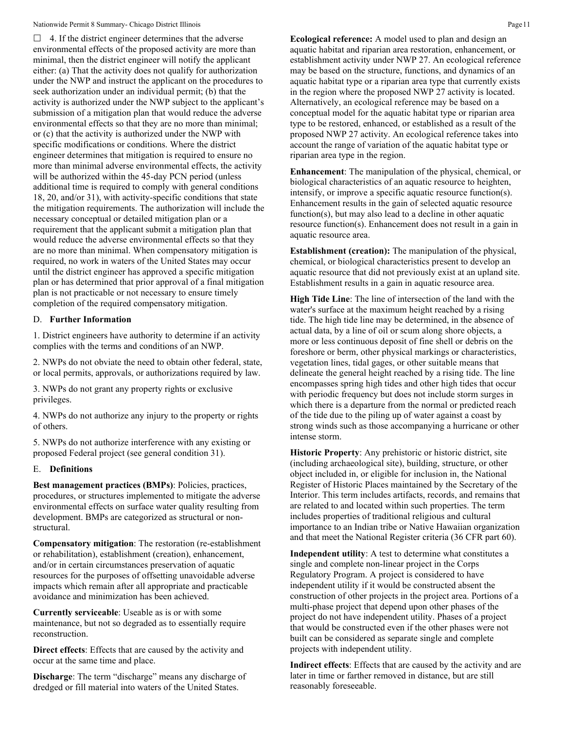#### Nationwide Permit 8 Summary- Chicago District Illinois **Page 11** National Accords Page 11

 $\Box$  4. If the district engineer determines that the adverse environmental effects of the proposed activity are more than minimal, then the district engineer will notify the applicant either: (a) That the activity does not qualify for authorization under the NWP and instruct the applicant on the procedures to seek authorization under an individual permit; (b) that the activity is authorized under the NWP subject to the applicant's submission of a mitigation plan that would reduce the adverse environmental effects so that they are no more than minimal; or (c) that the activity is authorized under the NWP with specific modifications or conditions. Where the district engineer determines that mitigation is required to ensure no more than minimal adverse environmental effects, the activity will be authorized within the 45-day PCN period (unless additional time is required to comply with general conditions 18, 20, and/or 31), with activity-specific conditions that state the mitigation requirements. The authorization will include the necessary conceptual or detailed mitigation plan or a requirement that the applicant submit a mitigation plan that would reduce the adverse environmental effects so that they are no more than minimal. When compensatory mitigation is required, no work in waters of the United States may occur until the district engineer has approved a specific mitigation plan or has determined that prior approval of a final mitigation plan is not practicable or not necessary to ensure timely completion of the required compensatory mitigation.

#### D. **Further Information**

1. District engineers have authority to determine if an activity complies with the terms and conditions of an NWP.

2. NWPs do not obviate the need to obtain other federal, state, or local permits, approvals, or authorizations required by law.

3. NWPs do not grant any property rights or exclusive privileges.

4. NWPs do not authorize any injury to the property or rights of others.

5. NWPs do not authorize interference with any existing or proposed Federal project (see general condition 31).

#### E. **Definitions**

**Best management practices (BMPs)**: Policies, practices, procedures, or structures implemented to mitigate the adverse environmental effects on surface water quality resulting from development. BMPs are categorized as structural or nonstructural.

**Compensatory mitigation**: The restoration (re-establishment or rehabilitation), establishment (creation), enhancement, and/or in certain circumstances preservation of aquatic resources for the purposes of offsetting unavoidable adverse impacts which remain after all appropriate and practicable avoidance and minimization has been achieved.

**Currently serviceable**: Useable as is or with some maintenance, but not so degraded as to essentially require reconstruction.

**Direct effects**: Effects that are caused by the activity and occur at the same time and place.

**Discharge**: The term "discharge" means any discharge of dredged or fill material into waters of the United States.

**Ecological reference:** A model used to plan and design an aquatic habitat and riparian area restoration, enhancement, or establishment activity under NWP 27. An ecological reference may be based on the structure, functions, and dynamics of an aquatic habitat type or a riparian area type that currently exists in the region where the proposed NWP 27 activity is located. Alternatively, an ecological reference may be based on a conceptual model for the aquatic habitat type or riparian area type to be restored, enhanced, or established as a result of the proposed NWP 27 activity. An ecological reference takes into account the range of variation of the aquatic habitat type or riparian area type in the region.

**Enhancement**: The manipulation of the physical, chemical, or biological characteristics of an aquatic resource to heighten, intensify, or improve a specific aquatic resource function(s). Enhancement results in the gain of selected aquatic resource function(s), but may also lead to a decline in other aquatic resource function(s). Enhancement does not result in a gain in aquatic resource area.

**Establishment (creation):** The manipulation of the physical, chemical, or biological characteristics present to develop an aquatic resource that did not previously exist at an upland site. Establishment results in a gain in aquatic resource area.

**High Tide Line**: The line of intersection of the land with the water's surface at the maximum height reached by a rising tide. The high tide line may be determined, in the absence of actual data, by a line of oil or scum along shore objects, a more or less continuous deposit of fine shell or debris on the foreshore or berm, other physical markings or characteristics, vegetation lines, tidal gages, or other suitable means that delineate the general height reached by a rising tide. The line encompasses spring high tides and other high tides that occur with periodic frequency but does not include storm surges in which there is a departure from the normal or predicted reach of the tide due to the piling up of water against a coast by strong winds such as those accompanying a hurricane or other intense storm.

**Historic Property**: Any prehistoric or historic district, site (including archaeological site), building, structure, or other object included in, or eligible for inclusion in, the National Register of Historic Places maintained by the Secretary of the Interior. This term includes artifacts, records, and remains that are related to and located within such properties. The term includes properties of traditional religious and cultural importance to an Indian tribe or Native Hawaiian organization and that meet the National Register criteria (36 CFR part 60).

**Independent utility**: A test to determine what constitutes a single and complete non-linear project in the Corps Regulatory Program. A project is considered to have independent utility if it would be constructed absent the construction of other projects in the project area. Portions of a multi-phase project that depend upon other phases of the project do not have independent utility. Phases of a project that would be constructed even if the other phases were not built can be considered as separate single and complete projects with independent utility.

**Indirect effects**: Effects that are caused by the activity and are later in time or farther removed in distance, but are still reasonably foreseeable.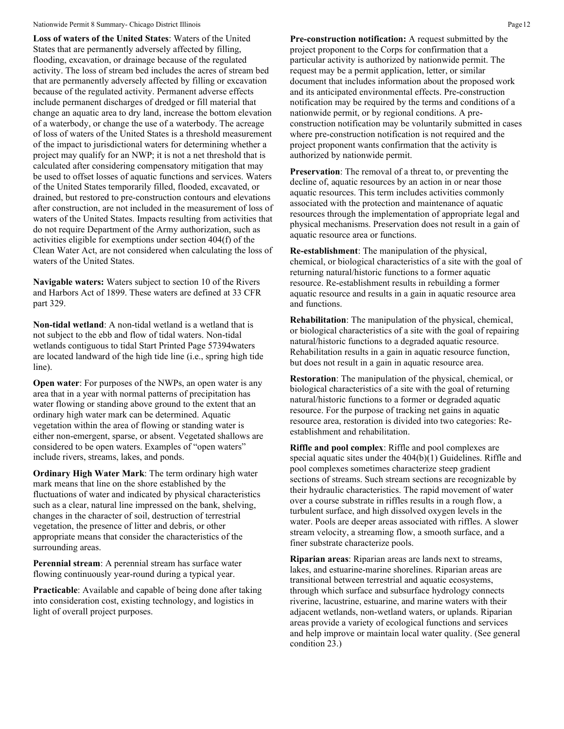#### Nationwide Permit 8 Summary- Chicago District Illinois **Page 12** Page 12

**Loss of waters of the United States**: Waters of the United States that are permanently adversely affected by filling, flooding, excavation, or drainage because of the regulated activity. The loss of stream bed includes the acres of stream bed that are permanently adversely affected by filling or excavation because of the regulated activity. Permanent adverse effects include permanent discharges of dredged or fill material that change an aquatic area to dry land, increase the bottom elevation of a waterbody, or change the use of a waterbody. The acreage of loss of waters of the United States is a threshold measurement of the impact to jurisdictional waters for determining whether a project may qualify for an NWP; it is not a net threshold that is calculated after considering compensatory mitigation that may be used to offset losses of aquatic functions and services. Waters of the United States temporarily filled, flooded, excavated, or drained, but restored to pre-construction contours and elevations after construction, are not included in the measurement of loss of waters of the United States. Impacts resulting from activities that do not require Department of the Army authorization, such as activities eligible for exemptions under section 404(f) of the Clean Water Act, are not considered when calculating the loss of waters of the United States.

**Navigable waters:** Waters subject to section 10 of the Rivers and Harbors Act of 1899. These waters are defined at 33 CFR part 329.

**Non-tidal wetland**: A non-tidal wetland is a wetland that is not subject to the ebb and flow of tidal waters. Non-tidal wetlands contiguous to tidal Start Printed Page 57394waters are located landward of the high tide line (i.e., spring high tide line).

**Open water:** For purposes of the NWPs, an open water is any area that in a year with normal patterns of precipitation has water flowing or standing above ground to the extent that an ordinary high water mark can be determined. Aquatic vegetation within the area of flowing or standing water is either non-emergent, sparse, or absent. Vegetated shallows are considered to be open waters. Examples of "open waters" include rivers, streams, lakes, and ponds.

**Ordinary High Water Mark**: The term ordinary high water mark means that line on the shore established by the fluctuations of water and indicated by physical characteristics such as a clear, natural line impressed on the bank, shelving, changes in the character of soil, destruction of terrestrial vegetation, the presence of litter and debris, or other appropriate means that consider the characteristics of the surrounding areas.

**Perennial stream**: A perennial stream has surface water flowing continuously year-round during a typical year.

**Practicable:** Available and capable of being done after taking into consideration cost, existing technology, and logistics in light of overall project purposes.

**Pre-construction notification:** A request submitted by the project proponent to the Corps for confirmation that a particular activity is authorized by nationwide permit. The request may be a permit application, letter, or similar document that includes information about the proposed work and its anticipated environmental effects. Pre-construction notification may be required by the terms and conditions of a nationwide permit, or by regional conditions. A preconstruction notification may be voluntarily submitted in cases where pre-construction notification is not required and the project proponent wants confirmation that the activity is authorized by nationwide permit.

**Preservation**: The removal of a threat to, or preventing the decline of, aquatic resources by an action in or near those aquatic resources. This term includes activities commonly associated with the protection and maintenance of aquatic resources through the implementation of appropriate legal and physical mechanisms. Preservation does not result in a gain of aquatic resource area or functions.

**Re-establishment**: The manipulation of the physical, chemical, or biological characteristics of a site with the goal of returning natural/historic functions to a former aquatic resource. Re-establishment results in rebuilding a former aquatic resource and results in a gain in aquatic resource area and functions.

**Rehabilitation**: The manipulation of the physical, chemical, or biological characteristics of a site with the goal of repairing natural/historic functions to a degraded aquatic resource. Rehabilitation results in a gain in aquatic resource function, but does not result in a gain in aquatic resource area.

**Restoration**: The manipulation of the physical, chemical, or biological characteristics of a site with the goal of returning natural/historic functions to a former or degraded aquatic resource. For the purpose of tracking net gains in aquatic resource area, restoration is divided into two categories: Reestablishment and rehabilitation.

**Riffle and pool complex**: Riffle and pool complexes are special aquatic sites under the 404(b)(1) Guidelines. Riffle and pool complexes sometimes characterize steep gradient sections of streams. Such stream sections are recognizable by their hydraulic characteristics. The rapid movement of water over a course substrate in riffles results in a rough flow, a turbulent surface, and high dissolved oxygen levels in the water. Pools are deeper areas associated with riffles. A slower stream velocity, a streaming flow, a smooth surface, and a finer substrate characterize pools.

**Riparian areas**: Riparian areas are lands next to streams, lakes, and estuarine-marine shorelines. Riparian areas are transitional between terrestrial and aquatic ecosystems, through which surface and subsurface hydrology connects riverine, lacustrine, estuarine, and marine waters with their adjacent wetlands, non-wetland waters, or uplands. Riparian areas provide a variety of ecological functions and services and help improve or maintain local water quality. (See general condition 23.)